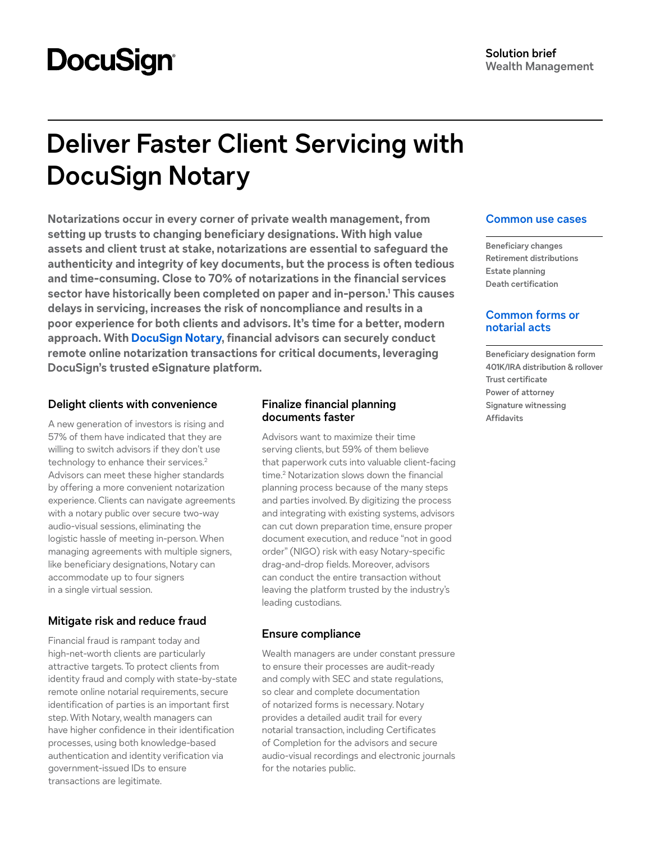# **DocuSign**

## **Deliver Faster Client Servicing with DocuSign Notary**

**Notarizations occur in every corner of private wealth management, from setting up trusts to changing beneficiary designations. With high value assets and client trust at stake, notarizations are essential to safeguard the authenticity and integrity of key documents, but the process is often tedious and time-consuming. Close to 70% of notarizations in the financial services sector have historically been completed on paper and in-person[.1](#page-1-0) This causes delays in servicing, increases the risk of noncompliance and results in a poor experience for both clients and advisors. It's time for a better, modern approach. With [DocuSign Notary,](https://www.docusign.com/products/notary) financial advisors can securely conduct remote online notarization transactions for critical documents, leveraging DocuSign's trusted eSignature platform.**

#### **Delight clients with convenience**

A new generation of investors is rising and 57% of them have indicated that they are willing to switch advisors if they don't use technology to enhance their services.<sup>2</sup> Advisors can meet these higher standards by offering a more convenient notarization experience. Clients can navigate agreements with a notary public over secure two-way audio-visual sessions, eliminating the logistic hassle of meeting in-person. When managing agreements with multiple signers, like beneficiary designations, Notary can accommodate up to four signers in a single virtual session.

#### **Mitigate risk and reduce fraud**

Financial fraud is rampant today and high-net-worth clients are particularly attractive targets. To protect clients from identity fraud and comply with state-by-state remote online notarial requirements, secure identification of parties is an important first step. With Notary, wealth managers can have higher confidence in their identification processes, using both knowledge-based authentication and identity verification via government-issued IDs to ensure transactions are legitimate.

#### **Finalize financial planning documents faster**

Advisors want to maximize their time serving clients, but 59% of them believe that paperwork cuts into valuable client-facing time.[2](#page-1-1) Notarization slows down the financial planning process because of the many steps and parties involved. By digitizing the process and integrating with existing systems, advisors can cut down preparation time, ensure proper document execution, and reduce "not in good order" (NIGO) risk with easy Notary-specific drag-and-drop fields. Moreover, advisors can conduct the entire transaction without leaving the platform trusted by the industry's leading custodians.

#### **Ensure compliance**

Wealth managers are under constant pressure to ensure their processes are audit-ready and comply with SEC and state regulations, so clear and complete documentation of notarized forms is necessary. Notary provides a detailed audit trail for every notarial transaction, including Certificates of Completion for the advisors and secure audio-visual recordings and electronic journals for the notaries public.

#### **Common use cases**

**Beneficiary changes Retirement distributions Estate planning Death certification**

#### **Common forms or notarial acts**

**Beneficiary designation form 401K/IRA distribution & rollover Trust certificate Power of attorney Signature witnessing Affidavits**